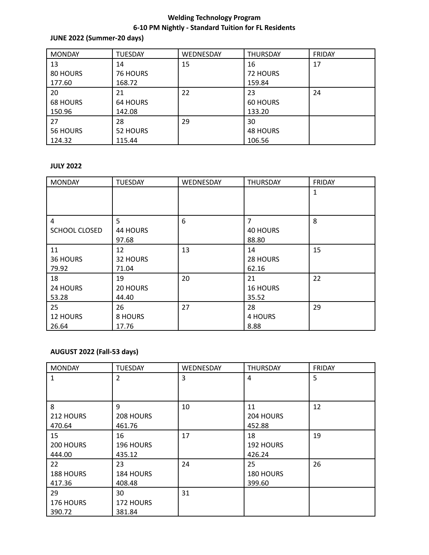# **Welding Technology Program 6-10 PM Nightly - Standard Tuition for FL Residents**

### **JUNE 2022 (Summer-20 days)**

| <b>MONDAY</b>   | <b>TUESDAY</b>  | WEDNESDAY | <b>THURSDAY</b> | <b>FRIDAY</b> |
|-----------------|-----------------|-----------|-----------------|---------------|
| 13              | 14              | 15        | 16              | 17            |
| 80 HOURS        | <b>76 HOURS</b> |           | <b>72 HOURS</b> |               |
| 177.60          | 168.72          |           | 159.84          |               |
| 20              | 21              | 22        | 23              | 24            |
| <b>68 HOURS</b> | <b>64 HOURS</b> |           | <b>60 HOURS</b> |               |
| 150.96          | 142.08          |           | 133.20          |               |
| 27              | 28              | 29        | 30              |               |
| 56 HOURS        | 52 HOURS        |           | <b>48 HOURS</b> |               |
| 124.32          | 115.44          |           | 106.56          |               |

## **JULY 2022**

| <b>MONDAY</b> | <b>TUESDAY</b> | WEDNESDAY | <b>THURSDAY</b> | FRIDAY |
|---------------|----------------|-----------|-----------------|--------|
|               |                |           |                 |        |
|               |                |           |                 |        |
|               |                |           |                 |        |
| 4             | 5              | 6         | $\overline{7}$  | 8      |
| SCHOOL CLOSED | 44 HOURS       |           | 40 HOURS        |        |
|               | 97.68          |           | 88.80           |        |
| 11            | 12             | 13        | 14              | 15     |
| 36 HOURS      | 32 HOURS       |           | 28 HOURS        |        |
| 79.92         | 71.04          |           | 62.16           |        |
| 18            | 19             | 20        | 21              | 22     |
| 24 HOURS      | 20 HOURS       |           | <b>16 HOURS</b> |        |
| 53.28         | 44.40          |           | 35.52           |        |
| 25            | 26             | 27        | 28              | 29     |
| 12 HOURS      | 8 HOURS        |           | 4 HOURS         |        |
| 26.64         | 17.76          |           | 8.88            |        |

## **AUGUST 2022 (Fall-53 days)**

| <b>MONDAY</b> | <b>TUESDAY</b> | WEDNESDAY | <b>THURSDAY</b> | <b>FRIDAY</b> |
|---------------|----------------|-----------|-----------------|---------------|
|               | $\overline{2}$ | 3         | 4               | 5             |
|               |                |           |                 |               |
|               |                |           |                 |               |
| 8             | 9              | 10        | 11              | 12            |
| 212 HOURS     | 208 HOURS      |           | 204 HOURS       |               |
| 470.64        | 461.76         |           | 452.88          |               |
| 15            | 16             | 17        | 18              | 19            |
| 200 HOURS     | 196 HOURS      |           | 192 HOURS       |               |
| 444.00        | 435.12         |           | 426.24          |               |
| 22            | 23             | 24        | 25              | 26            |
| 188 HOURS     | 184 HOURS      |           | 180 HOURS       |               |
| 417.36        | 408.48         |           | 399.60          |               |
| 29            | 30             | 31        |                 |               |
| 176 HOURS     | 172 HOURS      |           |                 |               |
| 390.72        | 381.84         |           |                 |               |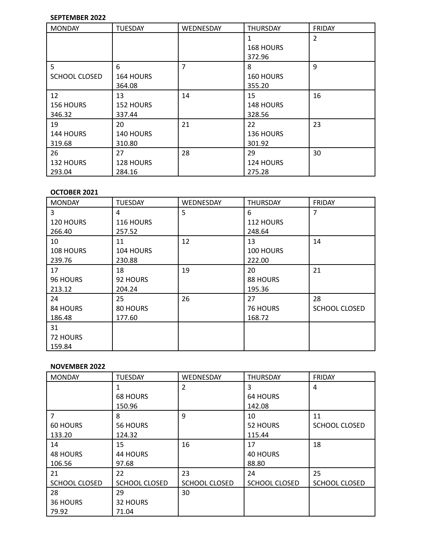### **SEPTEMBER 2022**

| <b>MONDAY</b>        | <b>TUESDAY</b>   | WEDNESDAY | <b>THURSDAY</b> | FRIDAY |
|----------------------|------------------|-----------|-----------------|--------|
|                      |                  |           |                 | 2      |
|                      |                  |           | 168 HOURS       |        |
|                      |                  |           | 372.96          |        |
| 5                    | 6                | 7         | 8               | 9      |
| <b>SCHOOL CLOSED</b> | 164 HOURS        |           | 160 HOURS       |        |
|                      | 364.08           |           | 355.20          |        |
| 12                   | 13               | 14        | 15              | 16     |
| 156 HOURS            | <b>152 HOURS</b> |           | 148 HOURS       |        |
| 346.32               | 337.44           |           | 328.56          |        |
| 19                   | 20               | 21        | 22              | 23     |
| 144 HOURS            | 140 HOURS        |           | 136 HOURS       |        |
| 319.68               | 310.80           |           | 301.92          |        |
| 26                   | 27               | 28        | 29              | 30     |
| 132 HOURS            | 128 HOURS        |           | 124 HOURS       |        |
| 293.04               | 284.16           |           | 275.28          |        |

### **OCTOBER 2021**

| <b>MONDAY</b> | <b>TUESDAY</b> | WEDNESDAY | <b>THURSDAY</b> | <b>FRIDAY</b>        |
|---------------|----------------|-----------|-----------------|----------------------|
| 3             | 4              | 5         | 6               | 7                    |
| 120 HOURS     | 116 HOURS      |           | 112 HOURS       |                      |
| 266.40        | 257.52         |           | 248.64          |                      |
| 10            | 11             | 12        | 13              | 14                   |
| 108 HOURS     | 104 HOURS      |           | 100 HOURS       |                      |
| 239.76        | 230.88         |           | 222.00          |                      |
| 17            | 18             | 19        | 20              | 21                   |
| 96 HOURS      | 92 HOURS       |           | 88 HOURS        |                      |
| 213.12        | 204.24         |           | 195.36          |                      |
| 24            | 25             | 26        | 27              | 28                   |
| 84 HOURS      | 80 HOURS       |           | <b>76 HOURS</b> | <b>SCHOOL CLOSED</b> |
| 186.48        | 177.60         |           | 168.72          |                      |
| 31            |                |           |                 |                      |
| 72 HOURS      |                |           |                 |                      |
| 159.84        |                |           |                 |                      |

### **NOVEMBER 2022**

| <b>MONDAY</b>        | <b>TUESDAY</b>       | WEDNESDAY            | <b>THURSDAY</b>      | <b>FRIDAY</b>        |
|----------------------|----------------------|----------------------|----------------------|----------------------|
|                      |                      | 2                    | 3                    | 4                    |
|                      | <b>68 HOURS</b>      |                      | <b>64 HOURS</b>      |                      |
|                      | 150.96               |                      | 142.08               |                      |
| $\overline{7}$       | 8                    | 9                    | 10                   | 11                   |
| <b>60 HOURS</b>      | 56 HOURS             |                      | 52 HOURS             | <b>SCHOOL CLOSED</b> |
| 133.20               | 124.32               |                      | 115.44               |                      |
| 14                   | 15                   | 16                   | 17                   | 18                   |
| <b>48 HOURS</b>      | 44 HOURS             |                      | <b>40 HOURS</b>      |                      |
| 106.56               | 97.68                |                      | 88.80                |                      |
| 21                   | 22                   | 23                   | 24                   | 25                   |
| <b>SCHOOL CLOSED</b> | <b>SCHOOL CLOSED</b> | <b>SCHOOL CLOSED</b> | <b>SCHOOL CLOSED</b> | <b>SCHOOL CLOSED</b> |
| 28                   | 29                   | 30                   |                      |                      |
| 36 HOURS             | 32 HOURS             |                      |                      |                      |
| 79.92                | 71.04                |                      |                      |                      |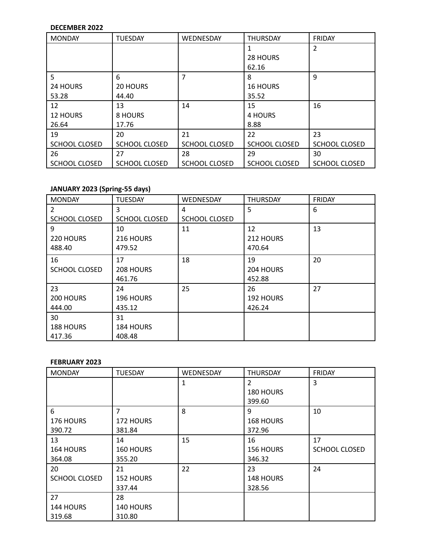### **DECEMBER 2022**

| <b>MONDAY</b>        | <b>TUESDAY</b>       | WEDNESDAY            | <b>THURSDAY</b>      | FRIDAY               |
|----------------------|----------------------|----------------------|----------------------|----------------------|
|                      |                      |                      |                      | 2                    |
|                      |                      |                      | 28 HOURS             |                      |
|                      |                      |                      | 62.16                |                      |
| 5                    | 6                    | 7                    | 8                    | 9                    |
| 24 HOURS             | 20 HOURS             |                      | <b>16 HOURS</b>      |                      |
| 53.28                | 44.40                |                      | 35.52                |                      |
| 12                   | 13                   | 14                   | 15                   | 16                   |
| <b>12 HOURS</b>      | 8 HOURS              |                      | 4 HOURS              |                      |
| 26.64                | 17.76                |                      | 8.88                 |                      |
| 19                   | 20                   | 21                   | 22                   | 23                   |
| <b>SCHOOL CLOSED</b> | <b>SCHOOL CLOSED</b> | <b>SCHOOL CLOSED</b> | <b>SCHOOL CLOSED</b> | <b>SCHOOL CLOSED</b> |
| 26                   | 27                   | 28                   | 29                   | 30                   |
| SCHOOL CLOSED        | <b>SCHOOL CLOSED</b> | <b>SCHOOL CLOSED</b> | <b>SCHOOL CLOSED</b> | <b>SCHOOL CLOSED</b> |

## **JANUARY 2023 (Spring-55 days)**

| <b>MONDAY</b>        | <b>TUESDAY</b>       | WEDNESDAY            | <b>THURSDAY</b> | <b>FRIDAY</b> |
|----------------------|----------------------|----------------------|-----------------|---------------|
| 2                    | 3                    | 4                    | 5               | 6             |
| <b>SCHOOL CLOSED</b> | <b>SCHOOL CLOSED</b> | <b>SCHOOL CLOSED</b> |                 |               |
| 9                    | 10                   | 11                   | 12              | 13            |
| 220 HOURS            | 216 HOURS            |                      | 212 HOURS       |               |
| 488.40               | 479.52               |                      | 470.64          |               |
| 16                   | 17                   | 18                   | 19              | 20            |
| <b>SCHOOL CLOSED</b> | 208 HOURS            |                      | 204 HOURS       |               |
|                      | 461.76               |                      | 452.88          |               |
| 23                   | 24                   | 25                   | 26              | 27            |
| 200 HOURS            | 196 HOURS            |                      | 192 HOURS       |               |
| 444.00               | 435.12               |                      | 426.24          |               |
| 30                   | 31                   |                      |                 |               |
| <b>188 HOURS</b>     | 184 HOURS            |                      |                 |               |
| 417.36               | 408.48               |                      |                 |               |

#### **FEBRUARY 2023**

| <b>MONDAY</b>        | <b>TUESDAY</b> | WEDNESDAY | <b>THURSDAY</b> | FRIDAY        |
|----------------------|----------------|-----------|-----------------|---------------|
|                      |                | 1         | $\overline{2}$  | 3             |
|                      |                |           | 180 HOURS       |               |
|                      |                |           | 399.60          |               |
| 6                    | 7              | 8         | 9               | 10            |
| 176 HOURS            | 172 HOURS      |           | 168 HOURS       |               |
| 390.72               | 381.84         |           | 372.96          |               |
| 13                   | 14             | 15        | 16              | 17            |
| 164 HOURS            | 160 HOURS      |           | 156 HOURS       | SCHOOL CLOSED |
| 364.08               | 355.20         |           | 346.32          |               |
| 20                   | 21             | 22        | 23              | 24            |
| <b>SCHOOL CLOSED</b> | 152 HOURS      |           | 148 HOURS       |               |
|                      | 337.44         |           | 328.56          |               |
| 27                   | 28             |           |                 |               |
| 144 HOURS            | 140 HOURS      |           |                 |               |
| 319.68               | 310.80         |           |                 |               |